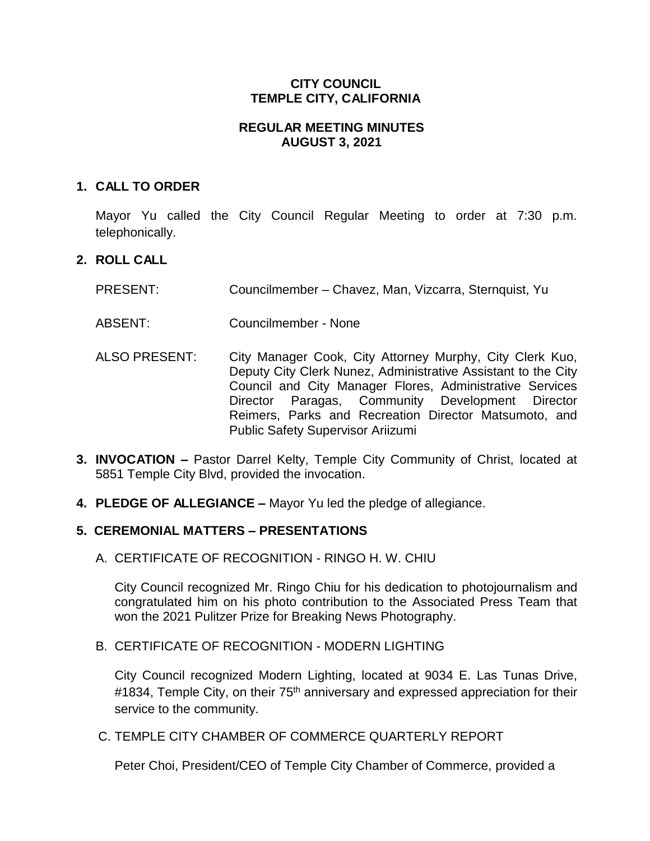### **CITY COUNCIL TEMPLE CITY, CALIFORNIA**

### **REGULAR MEETING MINUTES AUGUST 3, 2021**

### **1. CALL TO ORDER**

Mayor Yu called the City Council Regular Meeting to order at 7:30 p.m. telephonically.

### **2. ROLL CALL**

- PRESENT: Councilmember Chavez, Man, Vizcarra, Sternquist, Yu
- ABSENT: Councilmember None
- ALSO PRESENT: City Manager Cook, City Attorney Murphy, City Clerk Kuo, Deputy City Clerk Nunez, Administrative Assistant to the City Council and City Manager Flores, Administrative Services Director Paragas, Community Development Director Reimers, Parks and Recreation Director Matsumoto, and Public Safety Supervisor Ariizumi
- **3. INVOCATION –** Pastor Darrel Kelty, Temple City Community of Christ, located at 5851 Temple City Blvd, provided the invocation.
- **4. PLEDGE OF ALLEGIANCE –** Mayor Yu led the pledge of allegiance.

# **5. CEREMONIAL MATTERS – PRESENTATIONS**

A. CERTIFICATE OF RECOGNITION - RINGO H. W. CHIU

City Council recognized Mr. Ringo Chiu for his dedication to photojournalism and congratulated him on his photo contribution to the Associated Press Team that won the 2021 Pulitzer Prize for Breaking News Photography.

### B. CERTIFICATE OF RECOGNITION - MODERN LIGHTING

City Council recognized Modern Lighting, located at 9034 E. Las Tunas Drive, #1834, Temple City, on their 75<sup>th</sup> anniversary and expressed appreciation for their service to the community.

## C. TEMPLE CITY CHAMBER OF COMMERCE QUARTERLY REPORT

Peter Choi, President/CEO of Temple City Chamber of Commerce, provided a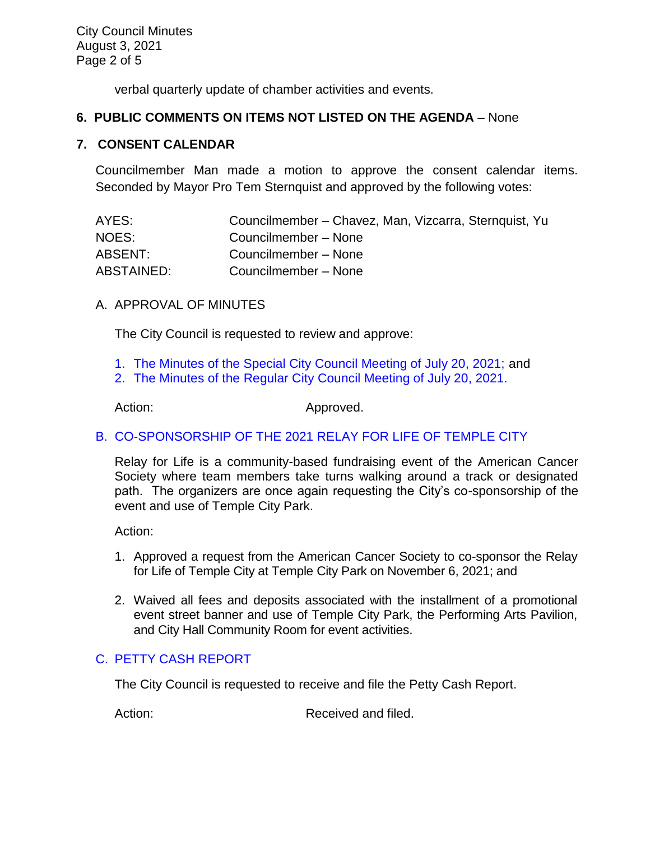City Council Minutes August 3, 2021 Page 2 of 5

verbal quarterly update of chamber activities and events.

### **6. PUBLIC COMMENTS ON ITEMS NOT LISTED ON THE AGENDA** – None

#### **7. CONSENT CALENDAR**

Councilmember Man made a motion to approve the consent calendar items. Seconded by Mayor Pro Tem Sternquist and approved by the following votes:

| AYES:      | Councilmember – Chavez, Man, Vizcarra, Sternquist, Yu |
|------------|-------------------------------------------------------|
| NOES:      | Councilmember - None                                  |
| ABSENT:    | Councilmember - None                                  |
| ABSTAINED: | Councilmember - None                                  |

### A. APPROVAL OF MINUTES

The City Council is requested to review and approve:

- 1. [The Minutes of the Special City Council Meeting of July 20, 2021;](https://www.ci.temple-city.ca.us/DocumentCenter/View/16590/7A-1_CCM---2021-07-20-Special-Joint-Meeting-with-Planning-Commission) and
- 2. [The Minutes of the Regular City Council Meeting of July 20, 2021.](https://www.ci.temple-city.ca.us/DocumentCenter/View/16591/7A-2_CCM---2021-07-20-Regular)

Action: Approved.

# [B. CO-SPONSORSHIP OF THE 2021 RELAY FOR LIFE OF TEMPLE CITY](https://www.ci.temple-city.ca.us/DocumentCenter/View/16592/7B_Relay-for-Life-Request-Staff-Report_w-attachments)

Relay for Life is a community-based fundraising event of the American Cancer Society where team members take turns walking around a track or designated path. The organizers are once again requesting the City's co-sponsorship of the event and use of Temple City Park.

Action:

- 1. Approved a request from the American Cancer Society to co-sponsor the Relay for Life of Temple City at Temple City Park on November 6, 2021; and
- 2. Waived all fees and deposits associated with the installment of a promotional event street banner and use of Temple City Park, the Performing Arts Pavilion, and City Hall Community Room for event activities.

# C. [PETTY CASH](https://www.ci.temple-city.ca.us/DocumentCenter/View/16593/7C_Petty-Cash-Staff-Report) REPORT

The City Council is requested to receive and file the Petty Cash Report.

Action: Received and filed.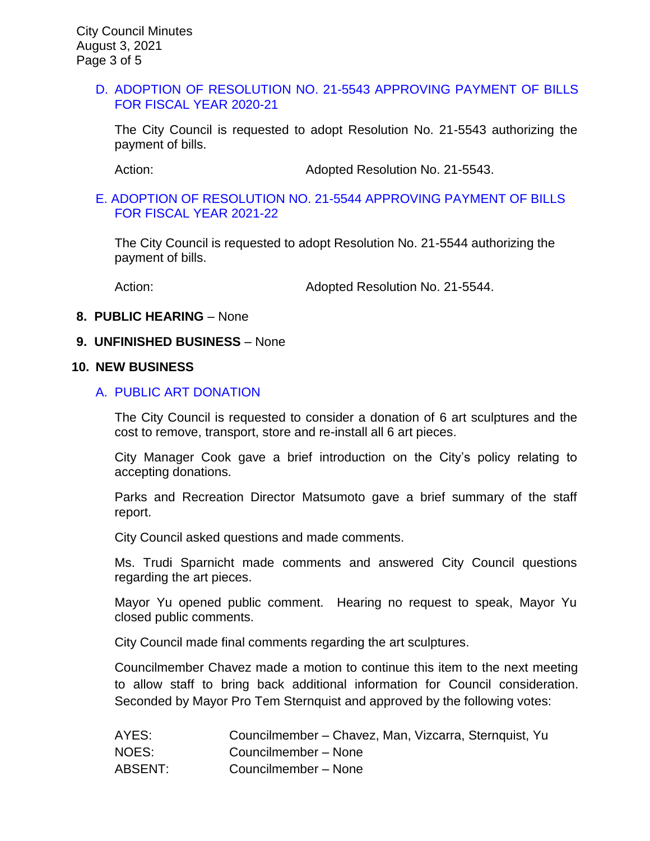#### D. [ADOPTION OF RESOLUTION NO. 21-5543](https://www.ci.temple-city.ca.us/DocumentCenter/View/16587/7D_CC-Warrant-FY-2020-21) APPROVING PAYMENT OF BILLS [FOR FISCAL YEAR 2020-21](https://www.ci.temple-city.ca.us/DocumentCenter/View/16587/7D_CC-Warrant-FY-2020-21)

The City Council is requested to adopt Resolution No. 21-5543 authorizing the payment of bills.

Action: Adopted Resolution No. 21-5543.

#### [E. ADOPTION OF RESOLUTION NO. 21-5544](https://www.ci.temple-city.ca.us/DocumentCenter/View/16588/7E_CC-Warrant-FY-2021-22) APPROVING PAYMENT OF BILLS [FOR FISCAL YEAR 2021-22](https://www.ci.temple-city.ca.us/DocumentCenter/View/16588/7E_CC-Warrant-FY-2021-22)

The City Council is requested to adopt Resolution No. 21-5544 authorizing the payment of bills.

Action: Adopted Resolution No. 21-5544.

#### **8. PUBLIC HEARING** – None

#### **9. UNFINISHED BUSINESS** – None

#### **10. NEW BUSINESS**

#### A. [PUBLIC ART DONATION](https://www.ci.temple-city.ca.us/DocumentCenter/View/16589/10A_Public-Art-Donation_Staff-Report-w-attachments)

The City Council is requested to consider a donation of 6 art sculptures and the cost to remove, transport, store and re-install all 6 art pieces.

City Manager Cook gave a brief introduction on the City's policy relating to accepting donations.

Parks and Recreation Director Matsumoto gave a brief summary of the staff report.

City Council asked questions and made comments.

Ms. Trudi Sparnicht made comments and answered City Council questions regarding the art pieces.

Mayor Yu opened public comment. Hearing no request to speak, Mayor Yu closed public comments.

City Council made final comments regarding the art sculptures.

Councilmember Chavez made a motion to continue this item to the next meeting to allow staff to bring back additional information for Council consideration. Seconded by Mayor Pro Tem Sternquist and approved by the following votes:

| AYES:   | Councilmember – Chavez, Man, Vizcarra, Sternquist, Yu |
|---------|-------------------------------------------------------|
| NOES:   | Councilmember - None                                  |
| ABSENT: | Councilmember - None                                  |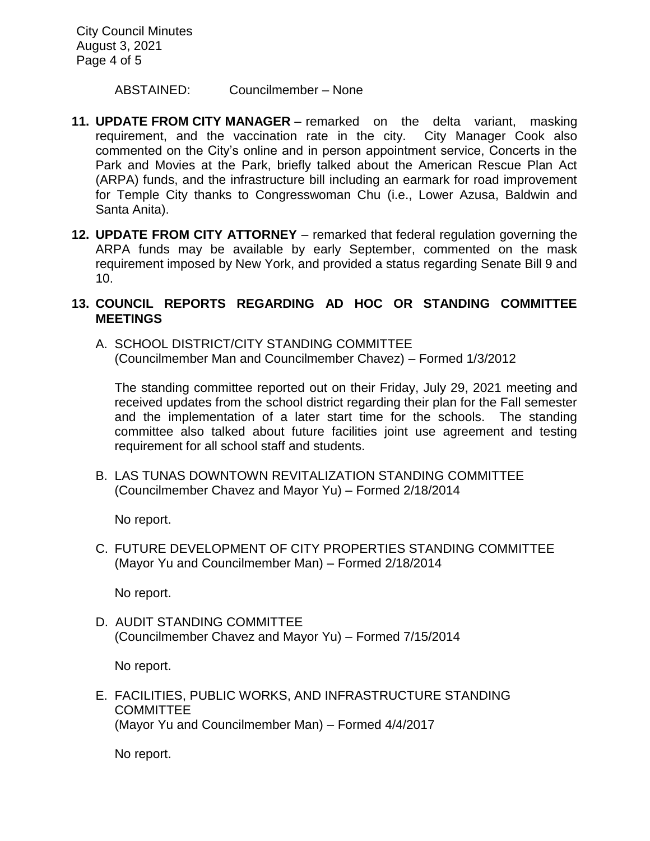City Council Minutes August 3, 2021 Page 4 of 5

ABSTAINED: Councilmember – None

- **11. UPDATE FROM CITY MANAGER**  remarked on the delta variant, masking requirement, and the vaccination rate in the city. City Manager Cook also commented on the City's online and in person appointment service, Concerts in the Park and Movies at the Park, briefly talked about the American Rescue Plan Act (ARPA) funds, and the infrastructure bill including an earmark for road improvement for Temple City thanks to Congresswoman Chu (i.e., Lower Azusa, Baldwin and Santa Anita).
- **12. UPDATE FROM CITY ATTORNEY** remarked that federal regulation governing the ARPA funds may be available by early September, commented on the mask requirement imposed by New York, and provided a status regarding Senate Bill 9 and 10.

### **13. COUNCIL REPORTS REGARDING AD HOC OR STANDING COMMITTEE MEETINGS**

A. SCHOOL DISTRICT/CITY STANDING COMMITTEE (Councilmember Man and Councilmember Chavez) – Formed 1/3/2012

The standing committee reported out on their Friday, July 29, 2021 meeting and received updates from the school district regarding their plan for the Fall semester and the implementation of a later start time for the schools. The standing committee also talked about future facilities joint use agreement and testing requirement for all school staff and students.

B. LAS TUNAS DOWNTOWN REVITALIZATION STANDING COMMITTEE (Councilmember Chavez and Mayor Yu) – Formed 2/18/2014

No report.

C. FUTURE DEVELOPMENT OF CITY PROPERTIES STANDING COMMITTEE (Mayor Yu and Councilmember Man) – Formed 2/18/2014

No report.

D. AUDIT STANDING COMMITTEE (Councilmember Chavez and Mayor Yu) – Formed 7/15/2014

No report.

E. FACILITIES, PUBLIC WORKS, AND INFRASTRUCTURE STANDING COMMITTEE (Mayor Yu and Councilmember Man) – Formed 4/4/2017

No report.